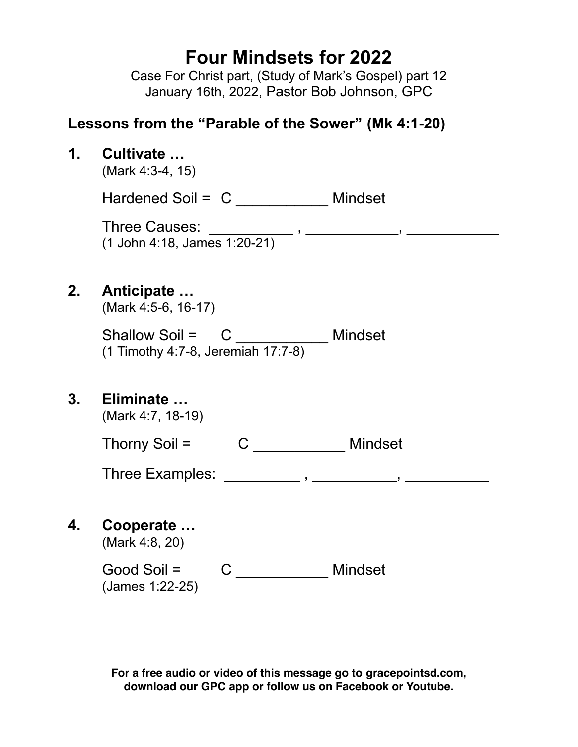# **Four Mindsets for 2022**

Case For Christ part, (Study of Mark's Gospel) part 12 January 16th, 2022, Pastor Bob Johnson, GPC

## **Lessons from the "Parable of the Sower" (Mk 4:1-20)**

**1. Cultivate …** 

(Mark 4:3-4, 15)

Hardened Soil = C \_\_\_\_\_\_\_\_\_\_\_\_ Mindset

Three Causes: \_\_\_\_\_\_\_\_\_\_ , \_\_\_\_\_\_\_\_\_\_\_, \_\_\_\_\_\_\_\_\_\_\_ (1 John 4:18, James 1:20-21)

## **2. Anticipate …**

(Mark 4:5-6, 16-17)

Shallow Soil = C \_\_\_\_\_\_\_\_\_\_\_\_\_ Mindset (1 Timothy 4:7-8, Jeremiah 17:7-8)

## **3. Eliminate …**

(Mark 4:7, 18-19)

Thorny Soil = C \_\_\_\_\_\_\_\_\_\_\_\_ Mindset

Three Examples: \_\_\_\_\_\_\_\_\_\_\_, \_\_\_\_\_\_\_\_\_, \_\_\_\_\_\_\_\_\_\_\_,

**4. Cooperate …** 

(Mark 4:8, 20)

| Good Soil =       |  | Mindset |
|-------------------|--|---------|
| $(James 1:22-25)$ |  |         |

**For a free audio or video of this message go to gracepointsd.com, download our GPC app or follow us on Facebook or Youtube.**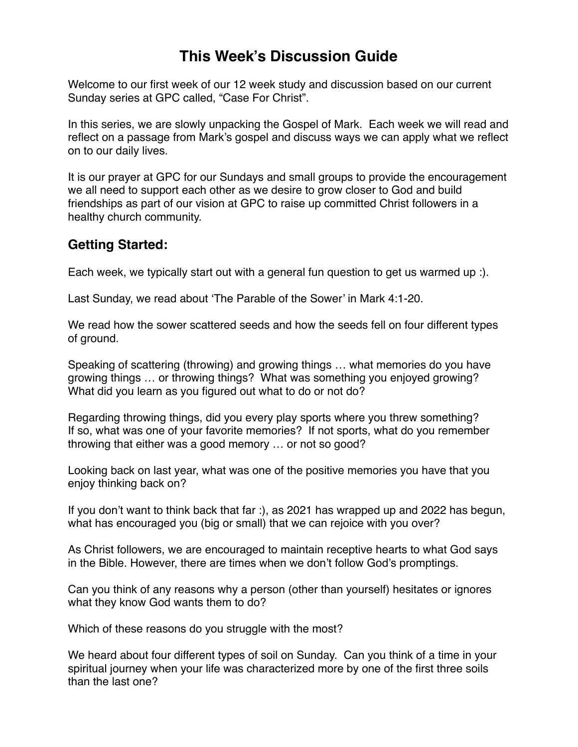## **This Week's Discussion Guide**

Welcome to our first week of our 12 week study and discussion based on our current Sunday series at GPC called, "Case For Christ".

In this series, we are slowly unpacking the Gospel of Mark. Each week we will read and reflect on a passage from Mark's gospel and discuss ways we can apply what we reflect on to our daily lives.

It is our prayer at GPC for our Sundays and small groups to provide the encouragement we all need to support each other as we desire to grow closer to God and build friendships as part of our vision at GPC to raise up committed Christ followers in a healthy church community.

### **Getting Started:**

Each week, we typically start out with a general fun question to get us warmed up :).

Last Sunday, we read about 'The Parable of the Sower' in Mark 4:1-20.

We read how the sower scattered seeds and how the seeds fell on four different types of ground.

Speaking of scattering (throwing) and growing things … what memories do you have growing things … or throwing things? What was something you enjoyed growing? What did you learn as you figured out what to do or not do?

Regarding throwing things, did you every play sports where you threw something? If so, what was one of your favorite memories? If not sports, what do you remember throwing that either was a good memory … or not so good?

Looking back on last year, what was one of the positive memories you have that you enjoy thinking back on?

If you don't want to think back that far :), as 2021 has wrapped up and 2022 has begun, what has encouraged you (big or small) that we can rejoice with you over?

As Christ followers, we are encouraged to maintain receptive hearts to what God says in the Bible. However, there are times when we don't follow God's promptings.

Can you think of any reasons why a person (other than yourself) hesitates or ignores what they know God wants them to do?

Which of these reasons do you struggle with the most?

We heard about four different types of soil on Sunday. Can you think of a time in your spiritual journey when your life was characterized more by one of the first three soils than the last one?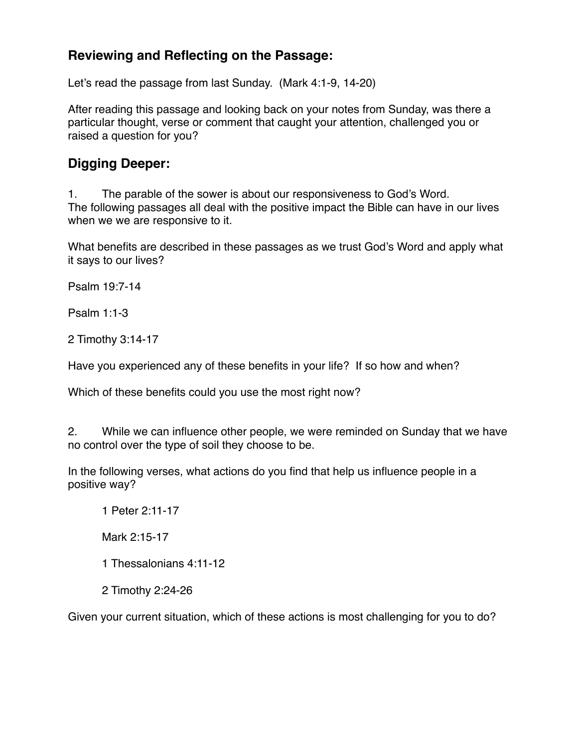### **Reviewing and Reflecting on the Passage:**

Let's read the passage from last Sunday. (Mark 4:1-9, 14-20)

After reading this passage and looking back on your notes from Sunday, was there a particular thought, verse or comment that caught your attention, challenged you or raised a question for you?

#### **Digging Deeper:**

1. The parable of the sower is about our responsiveness to God's Word. The following passages all deal with the positive impact the Bible can have in our lives when we we are responsive to it.

What benefits are described in these passages as we trust God's Word and apply what it says to our lives?

Psalm 19:7-14

Psalm 1:1-3

2 Timothy 3:14-17

Have you experienced any of these benefits in your life? If so how and when?

Which of these benefits could you use the most right now?

2. While we can influence other people, we were reminded on Sunday that we have no control over the type of soil they choose to be.

In the following verses, what actions do you find that help us influence people in a positive way?

1 Peter 2:11-17

Mark 2:15-17

1 Thessalonians 4:11-12

2 Timothy 2:24-26

Given your current situation, which of these actions is most challenging for you to do?